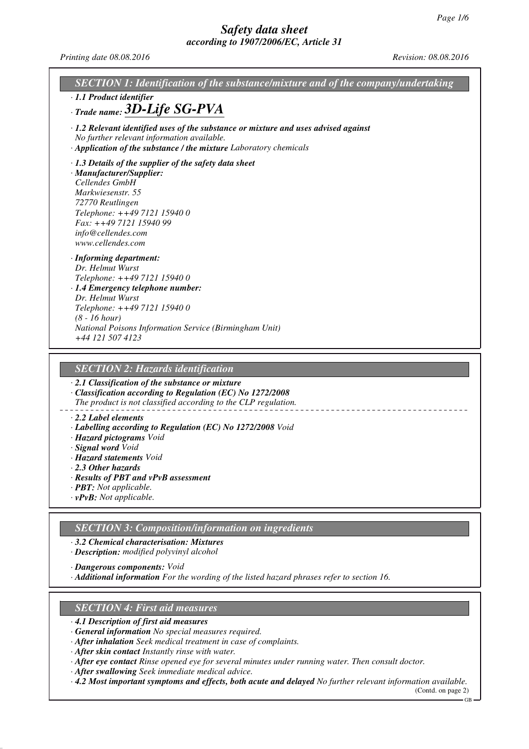*Printing date 08.08.2016 Revision: 08.08.2016*

| SECTION 1: Identification of the substance/mixture and of the company/undertaking<br>· 1.1 Product identifier                                                                                                                                                         |
|-----------------------------------------------------------------------------------------------------------------------------------------------------------------------------------------------------------------------------------------------------------------------|
| $\cdot$ Trade name: $3D$ -Life SG-PVA                                                                                                                                                                                                                                 |
| $\cdot$ 1.2 Relevant identified uses of the substance or mixture and uses advised against<br>No further relevant information available.<br>· Application of the substance / the mixture Laboratory chemicals                                                          |
| $\cdot$ 1.3 Details of the supplier of the safety data sheet<br>· Manufacturer/Supplier:<br>Cellendes GmbH<br>Markwiesenstr. 55<br>72770 Reutlingen<br>Telephone: ++49 7121 15940 0<br>Fax: ++49 7121 15940 99<br>info@cellendes.com<br>www.cellendes.com             |
| · Informing department:<br>Dr. Helmut Wurst<br>Telephone: ++49 7121 15940 0<br>· 1.4 Emergency telephone number:<br>Dr. Helmut Wurst<br>Telephone: ++49 7121 15940 0<br>$(8 - 16 hour)$<br>National Poisons Information Service (Birmingham Unit)<br>+44 121 507 4123 |
| <b>SECTION 2: Hazards identification</b>                                                                                                                                                                                                                              |
| $\cdot$ 2.1 Classification of the substance or mixture                                                                                                                                                                                                                |
| · Classification according to Regulation (EC) No 1272/2008<br>The product is not classified according to the CLP regulation.                                                                                                                                          |
| $\cdot$ 2.2 Label elements                                                                                                                                                                                                                                            |

- *· Labelling according to Regulation (EC) No 1272/2008 Void*
- *· Hazard pictograms Void*
- *· Signal word Void*
- *· Hazard statements Void*
- *· 2.3 Other hazards*
- *· Results of PBT and vPvB assessment*
- *· PBT: Not applicable.*
- *· vPvB: Not applicable.*

### *SECTION 3: Composition/information on ingredients*

*· 3.2 Chemical characterisation: Mixtures*

*· Description: modified polyvinyl alcohol*

*· Dangerous components: Void*

*· Additional information For the wording of the listed hazard phrases refer to section 16.*

### *SECTION 4: First aid measures*

- *· 4.1 Description of first aid measures*
- *· General information No special measures required.*
- *· After inhalation Seek medical treatment in case of complaints.*
- *· After skin contact Instantly rinse with water.*
- *· After eye contact Rinse opened eye for several minutes under running water. Then consult doctor.*
- *· After swallowing Seek immediate medical advice.*
- *· 4.2 Most important symptoms and effects, both acute and delayed No further relevant information available.*

(Contd. on page 2)  $-GB -$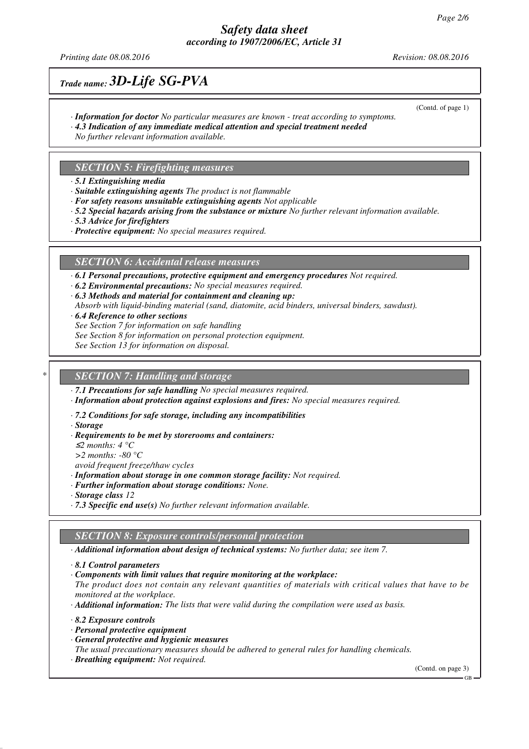### *Safety data sheet according to 1907/2006/EC, Article 31*

*Printing date 08.08.2016 Revision: 08.08.2016*

(Contd. of page 1)

## *Trade name: 3D-Life SG-PVA*

- *· Information for doctor No particular measures are known treat according to symptoms.*
- *· 4.3 Indication of any immediate medical attention and special treatment needed*
- *No further relevant information available.*

### *SECTION 5: Firefighting measures*

*· 5.1 Extinguishing media*

- *· Suitable extinguishing agents The product is not flammable*
- *· For safety reasons unsuitable extinguishing agents Not applicable*
- *· 5.2 Special hazards arising from the substance or mixture No further relevant information available.*
- *· 5.3 Advice for firefighters*
- *· Protective equipment: No special measures required.*

#### *SECTION 6: Accidental release measures*

*· 6.1 Personal precautions, protective equipment and emergency procedures Not required.*

- *· 6.2 Environmental precautions: No special measures required.*
- *· 6.3 Methods and material for containment and cleaning up:*
- *Absorb with liquid-binding material (sand, diatomite, acid binders, universal binders, sawdust).*
- *· 6.4 Reference to other sections*
- *See Section 7 for information on safe handling*
- *See Section 8 for information on personal protection equipment.*
- *See Section 13 for information on disposal.*

### *\* SECTION 7: Handling and storage*

*· 7.1 Precautions for safe handling No special measures required.*

*· Information about protection against explosions and fires: No special measures required.*

*· 7.2 Conditions for safe storage, including any incompatibilities*

*· Storage*

- *· Requirements to be met by storerooms and containers:*
- <sup>≤</sup>*2 months: 4 °C*

*>2 months: -80 °C*

- *avoid frequent freeze/thaw cycles*
- *· Information about storage in one common storage facility: Not required.*
- *· Further information about storage conditions: None.*
- *· Storage class 12*
- *· 7.3 Specific end use(s) No further relevant information available.*

#### *SECTION 8: Exposure controls/personal protection*

*· Additional information about design of technical systems: No further data; see item 7.*

*· Components with limit values that require monitoring at the workplace:*

*The product does not contain any relevant quantities of materials with critical values that have to be monitored at the workplace.*

*· Additional information: The lists that were valid during the compilation were used as basis.*

- *· 8.2 Exposure controls*
- *· Personal protective equipment*
- *· General protective and hygienic measures*

*The usual precautionary measures should be adhered to general rules for handling chemicals.*

*· Breathing equipment: Not required.*

(Contd. on page 3)

*<sup>·</sup> 8.1 Control parameters*

GB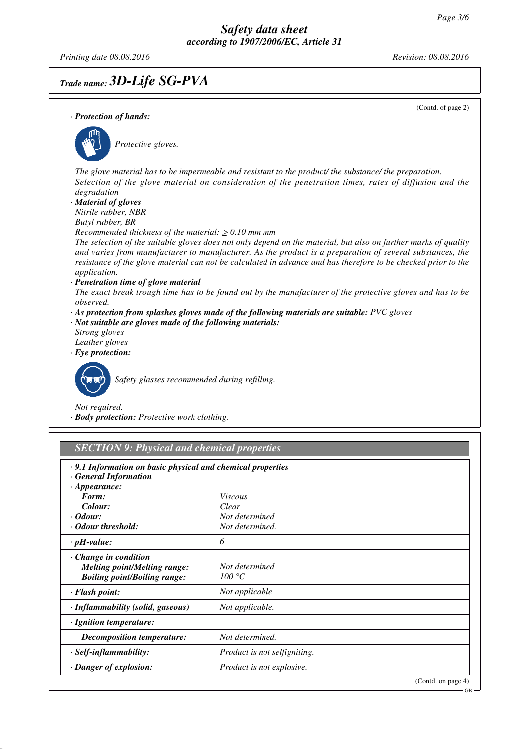GB

*Printing date 08.08.2016 Revision: 08.08.2016*

# *Trade name: 3D-Life SG-PVA*

(Contd. of page 2) *· Protection of hands: Protective gloves. The glove material has to be impermeable and resistant to the product/ the substance/ the preparation. Selection of the glove material on consideration of the penetration times, rates of diffusion and the degradation · Material of gloves Nitrile rubber, NBR Butyl rubber, BR Recommended thickness of the material:* ≥ *0.10 mm mm The selection of the suitable gloves does not only depend on the material, but also on further marks of quality and varies from manufacturer to manufacturer. As the product is a preparation of several substances, the resistance of the glove material can not be calculated in advance and has therefore to be checked prior to the application. · Penetration time of glove material The exact break trough time has to be found out by the manufacturer of the protective gloves and has to be observed. · As protection from splashes gloves made of the following materials are suitable: PVC gloves · Not suitable are gloves made of the following materials: Strong gloves Leather gloves · Eye protection: Safety glasses recommended during refilling. Not required. · Body protection: Protective work clothing. SECTION 9: Physical and chemical properties · 9.1 Information on basic physical and chemical properties*

*· General Information · Appearance: Form: Viscous Colour: Clear · Odour: Not determined · Odour threshold: Not determined. · pH-value: 6 · Change in condition Melting point/Melting range: Not determined Boiling point/Boiling range: 100 °C · Flash point: Not applicable · Inflammability (solid, gaseous) Not applicable. · Ignition temperature: Decomposition temperature: Not determined. · Self-inflammability: Product is not selfigniting. · Danger of explosion: Product is not explosive.* (Contd. on page 4)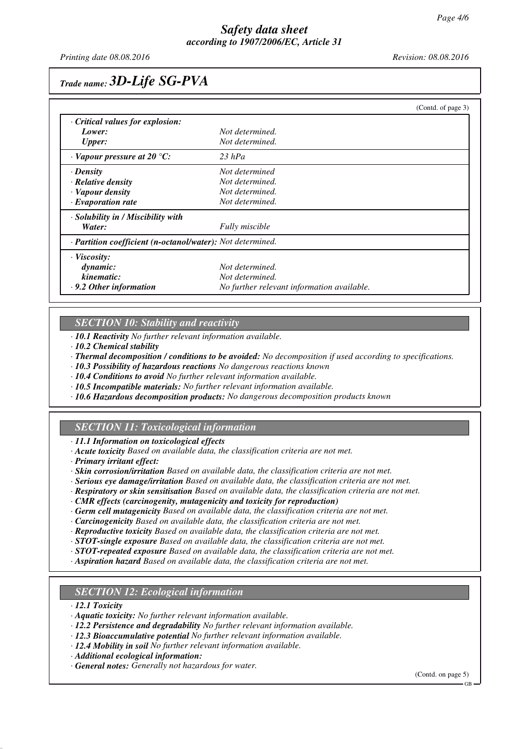*Printing date 08.08.2016 Revision: 08.08.2016*

# *Trade name: 3D-Life SG-PVA*

|                                                            |                                            | (Contd. of page 3) |
|------------------------------------------------------------|--------------------------------------------|--------------------|
| Critical values for explosion:                             |                                            |                    |
| Lower:                                                     | Not determined.                            |                    |
| <b>Upper:</b>                                              | Not determined.                            |                    |
| $\cdot$ Vapour pressure at 20 °C:                          | $23$ hPa                                   |                    |
| · Density                                                  | Not determined                             |                    |
| $\cdot$ Relative density                                   | Not determined.                            |                    |
| · Vapour density                                           | Not determined.                            |                    |
| $\cdot$ Evaporation rate                                   | Not determined.                            |                    |
| · Solubility in / Miscibility with                         |                                            |                    |
| Water:                                                     | <b>Fully</b> miscible                      |                    |
| · Partition coefficient (n-octanol/water): Not determined. |                                            |                    |
| · Viscosity:                                               |                                            |                    |
| dynamic:                                                   | Not determined.                            |                    |
| kinematic:                                                 | Not determined.                            |                    |
| $\cdot$ 9.2 Other information                              | No further relevant information available. |                    |

### *SECTION 10: Stability and reactivity*

*· 10.1 Reactivity No further relevant information available.*

*· 10.2 Chemical stability*

*· Thermal decomposition / conditions to be avoided: No decomposition if used according to specifications.*

*· 10.3 Possibility of hazardous reactions No dangerous reactions known*

*· 10.4 Conditions to avoid No further relevant information available.*

- *· 10.5 Incompatible materials: No further relevant information available.*
- *· 10.6 Hazardous decomposition products: No dangerous decomposition products known*

### *SECTION 11: Toxicological information*

*· 11.1 Information on toxicological effects*

- *· Acute toxicity Based on available data, the classification criteria are not met.*
- *· Primary irritant effect:*

*· Skin corrosion/irritation Based on available data, the classification criteria are not met.*

- *· Serious eye damage/irritation Based on available data, the classification criteria are not met.*
- *· Respiratory or skin sensitisation Based on available data, the classification criteria are not met.*
- *· CMR effects (carcinogenity, mutagenicity and toxicity for reproduction)*
- *· Germ cell mutagenicity Based on available data, the classification criteria are not met.*
- *· Carcinogenicity Based on available data, the classification criteria are not met.*
- *· Reproductive toxicity Based on available data, the classification criteria are not met.*
- *· STOT-single exposure Based on available data, the classification criteria are not met.*
- *· STOT-repeated exposure Based on available data, the classification criteria are not met.*
- *· Aspiration hazard Based on available data, the classification criteria are not met.*

#### *SECTION 12: Ecological information*

*· 12.1 Toxicity*

- *· Aquatic toxicity: No further relevant information available.*
- *· 12.2 Persistence and degradability No further relevant information available.*
- *· 12.3 Bioaccumulative potential No further relevant information available.*
- *· 12.4 Mobility in soil No further relevant information available.*

*· Additional ecological information:*

*· General notes: Generally not hazardous for water.*

(Contd. on page 5)

GB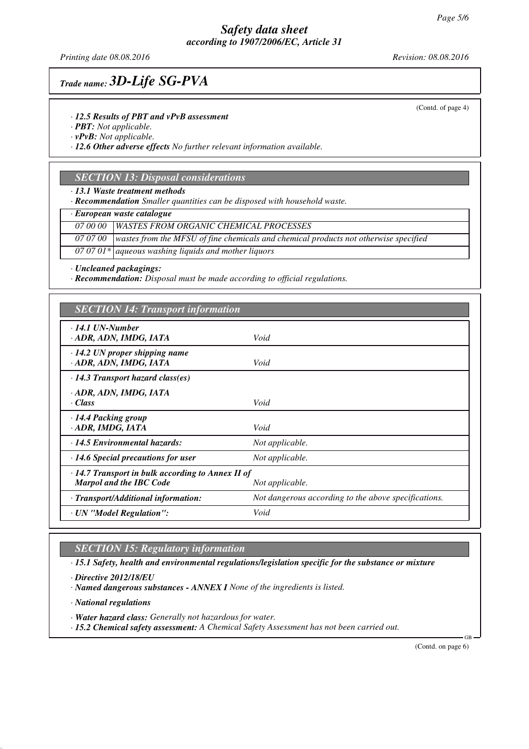### *Safety data sheet according to 1907/2006/EC, Article 31*

*Printing date 08.08.2016 Revision: 08.08.2016*

# *Trade name: 3D-Life SG-PVA*

*· 12.5 Results of PBT and vPvB assessment*

*· PBT: Not applicable.*

*· vPvB: Not applicable.*

*· 12.6 Other adverse effects No further relevant information available.*

### *SECTION 13: Disposal considerations*

*· 13.1 Waste treatment methods*

*· Recommendation Smaller quantities can be disposed with household waste.*

*· European waste catalogue*

*07 00 00 WASTES FROM ORGANIC CHEMICAL PROCESSES*

*07 07 00 wastes from the MFSU of fine chemicals and chemical products not otherwise specified*

*07 07 01\* aqueous washing liquids and mother liquors*

*· Uncleaned packagings:*

*· Recommendation: Disposal must be made according to official regulations.*

| <b>SECTION 14: Transport information</b>                                                                     |                                                      |  |  |
|--------------------------------------------------------------------------------------------------------------|------------------------------------------------------|--|--|
| $\cdot$ 14.1 UN-Number<br>· ADR, ADN, IMDG, IATA                                                             | Void                                                 |  |  |
| $\cdot$ 14.2 UN proper shipping name<br>· ADR, ADN, IMDG, IATA                                               | Void                                                 |  |  |
| $\cdot$ 14.3 Transport hazard class(es)                                                                      |                                                      |  |  |
| · ADR, ADN, IMDG, IATA<br>· Class                                                                            | Void                                                 |  |  |
| $\cdot$ 14.4 Packing group<br>ADR, IMDG, IATA                                                                | Void                                                 |  |  |
| $\cdot$ 14.5 Environmental hazards:                                                                          | Not applicable.                                      |  |  |
| $\cdot$ 14.6 Special precautions for user                                                                    | Not applicable.                                      |  |  |
| $\cdot$ 14.7 Transport in bulk according to Annex II of<br><b>Marpol and the IBC Code</b><br>Not applicable. |                                                      |  |  |
| · Transport/Additional information:                                                                          | Not dangerous according to the above specifications. |  |  |
| · UN "Model Regulation":                                                                                     | Void                                                 |  |  |

*SECTION 15: Regulatory information*

*· 15.1 Safety, health and environmental regulations/legislation specific for the substance or mixture*

*· Directive 2012/18/EU*

*· Named dangerous substances - ANNEX I None of the ingredients is listed.*

*· National regulations*

*· Water hazard class: Generally not hazardous for water.*

*· 15.2 Chemical safety assessment: A Chemical Safety Assessment has not been carried out.*

(Contd. on page 6)

GB

(Contd. of page 4)